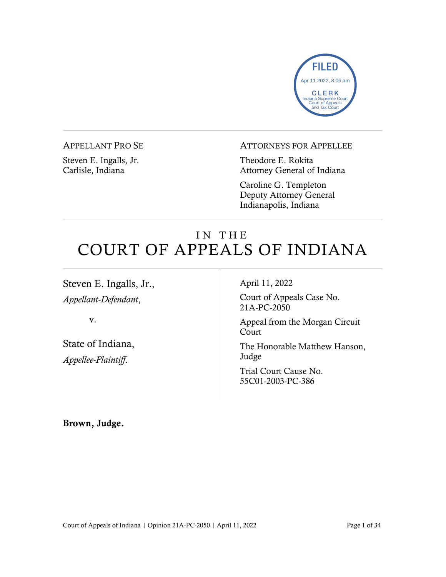

# APPELLANT PRO SE

Steven E. Ingalls, Jr. Carlisle, Indiana

# ATTORNEYS FOR APPELLEE

Theodore E. Rokita Attorney General of Indiana

Caroline G. Templeton Deputy Attorney General Indianapolis, Indiana

# IN THE COURT OF APPEALS OF INDIANA

Steven E. Ingalls, Jr., *Appellant-Defendant*,

v.

State of Indiana, *Appellee-Plaintiff*.

April 11, 2022

Court of Appeals Case No. 21A-PC-2050

Appeal from the Morgan Circuit Court

The Honorable Matthew Hanson, Judge

Trial Court Cause No. 55C01-2003-PC-386

Brown, Judge.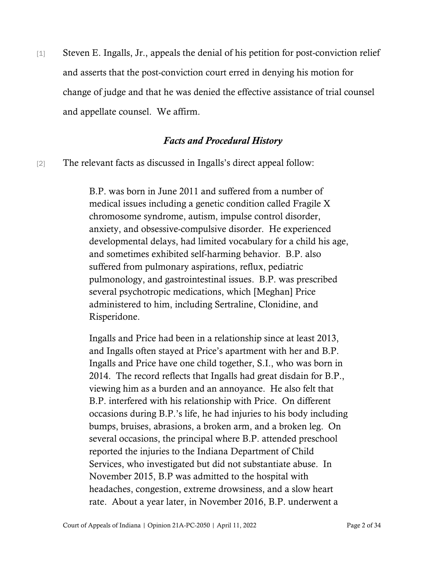[1] Steven E. Ingalls, Jr., appeals the denial of his petition for post-conviction relief and asserts that the post-conviction court erred in denying his motion for change of judge and that he was denied the effective assistance of trial counsel and appellate counsel. We affirm.

# *Facts and Procedural History*

[2] The relevant facts as discussed in Ingalls's direct appeal follow:

B.P. was born in June 2011 and suffered from a number of medical issues including a genetic condition called Fragile X chromosome syndrome, autism, impulse control disorder, anxiety, and obsessive-compulsive disorder. He experienced developmental delays, had limited vocabulary for a child his age, and sometimes exhibited self-harming behavior. B.P. also suffered from pulmonary aspirations, reflux, pediatric pulmonology, and gastrointestinal issues. B.P. was prescribed several psychotropic medications, which [Meghan] Price administered to him, including Sertraline, Clonidine, and Risperidone.

Ingalls and Price had been in a relationship since at least 2013, and Ingalls often stayed at Price's apartment with her and B.P. Ingalls and Price have one child together, S.I., who was born in 2014. The record reflects that Ingalls had great disdain for B.P., viewing him as a burden and an annoyance. He also felt that B.P. interfered with his relationship with Price. On different occasions during B.P.'s life, he had injuries to his body including bumps, bruises, abrasions, a broken arm, and a broken leg. On several occasions, the principal where B.P. attended preschool reported the injuries to the Indiana Department of Child Services, who investigated but did not substantiate abuse. In November 2015, B.P was admitted to the hospital with headaches, congestion, extreme drowsiness, and a slow heart rate. About a year later, in November 2016, B.P. underwent a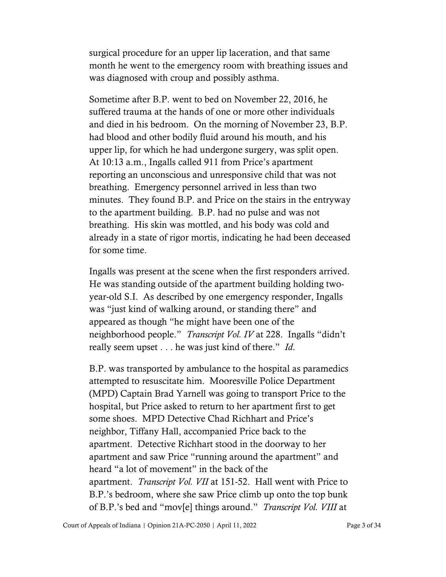surgical procedure for an upper lip laceration, and that same month he went to the emergency room with breathing issues and was diagnosed with croup and possibly asthma.

Sometime after B.P. went to bed on November 22, 2016, he suffered trauma at the hands of one or more other individuals and died in his bedroom. On the morning of November 23, B.P. had blood and other bodily fluid around his mouth, and his upper lip, for which he had undergone surgery, was split open. At 10:13 a.m., Ingalls called 911 from Price's apartment reporting an unconscious and unresponsive child that was not breathing. Emergency personnel arrived in less than two minutes. They found B.P. and Price on the stairs in the entryway to the apartment building. B.P. had no pulse and was not breathing. His skin was mottled, and his body was cold and already in a state of rigor mortis, indicating he had been deceased for some time.

Ingalls was present at the scene when the first responders arrived. He was standing outside of the apartment building holding twoyear-old S.I. As described by one emergency responder, Ingalls was "just kind of walking around, or standing there" and appeared as though "he might have been one of the neighborhood people." *Transcript Vol. IV* at 228. Ingalls "didn't really seem upset . . . he was just kind of there." *Id*.

B.P. was transported by ambulance to the hospital as paramedics attempted to resuscitate him. Mooresville Police Department (MPD) Captain Brad Yarnell was going to transport Price to the hospital, but Price asked to return to her apartment first to get some shoes. MPD Detective Chad Richhart and Price's neighbor, Tiffany Hall, accompanied Price back to the apartment. Detective Richhart stood in the doorway to her apartment and saw Price "running around the apartment" and heard "a lot of movement" in the back of the apartment. *Transcript Vol. VII* at 151-52. Hall went with Price to B.P.'s bedroom, where she saw Price climb up onto the top bunk of B.P.'s bed and "mov[e] things around." *Transcript Vol. VIII* at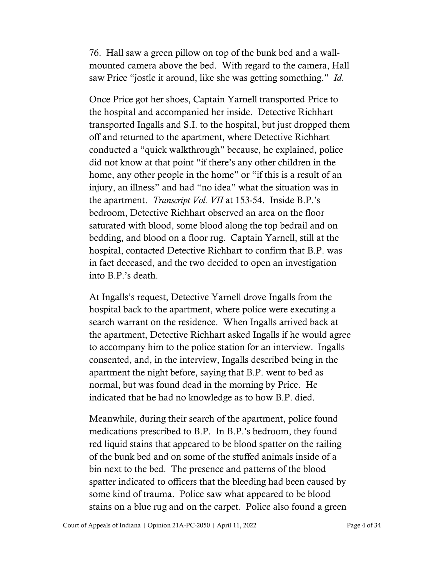76. Hall saw a green pillow on top of the bunk bed and a wallmounted camera above the bed. With regard to the camera, Hall saw Price "jostle it around, like she was getting something." *Id.*

Once Price got her shoes, Captain Yarnell transported Price to the hospital and accompanied her inside. Detective Richhart transported Ingalls and S.I. to the hospital, but just dropped them off and returned to the apartment, where Detective Richhart conducted a "quick walkthrough" because, he explained, police did not know at that point "if there's any other children in the home, any other people in the home" or "if this is a result of an injury, an illness" and had "no idea" what the situation was in the apartment. *Transcript Vol. VII* at 153-54. Inside B.P.'s bedroom, Detective Richhart observed an area on the floor saturated with blood, some blood along the top bedrail and on bedding, and blood on a floor rug. Captain Yarnell, still at the hospital, contacted Detective Richhart to confirm that B.P. was in fact deceased, and the two decided to open an investigation into B.P.'s death.

At Ingalls's request, Detective Yarnell drove Ingalls from the hospital back to the apartment, where police were executing a search warrant on the residence. When Ingalls arrived back at the apartment, Detective Richhart asked Ingalls if he would agree to accompany him to the police station for an interview. Ingalls consented, and, in the interview, Ingalls described being in the apartment the night before, saying that B.P. went to bed as normal, but was found dead in the morning by Price. He indicated that he had no knowledge as to how B.P. died.

Meanwhile, during their search of the apartment, police found medications prescribed to B.P. In B.P.'s bedroom, they found red liquid stains that appeared to be blood spatter on the railing of the bunk bed and on some of the stuffed animals inside of a bin next to the bed. The presence and patterns of the blood spatter indicated to officers that the bleeding had been caused by some kind of trauma. Police saw what appeared to be blood stains on a blue rug and on the carpet. Police also found a green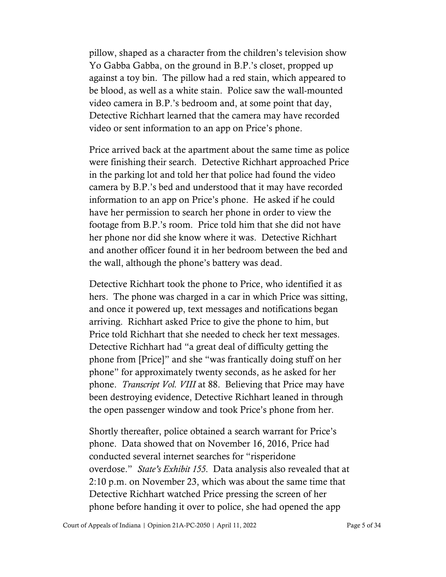pillow, shaped as a character from the children's television show Yo Gabba Gabba, on the ground in B.P.'s closet, propped up against a toy bin. The pillow had a red stain, which appeared to be blood, as well as a white stain. Police saw the wall-mounted video camera in B.P.'s bedroom and, at some point that day, Detective Richhart learned that the camera may have recorded video or sent information to an app on Price's phone.

Price arrived back at the apartment about the same time as police were finishing their search. Detective Richhart approached Price in the parking lot and told her that police had found the video camera by B.P.'s bed and understood that it may have recorded information to an app on Price's phone. He asked if he could have her permission to search her phone in order to view the footage from B.P.'s room. Price told him that she did not have her phone nor did she know where it was. Detective Richhart and another officer found it in her bedroom between the bed and the wall, although the phone's battery was dead.

Detective Richhart took the phone to Price, who identified it as hers. The phone was charged in a car in which Price was sitting, and once it powered up, text messages and notifications began arriving. Richhart asked Price to give the phone to him, but Price told Richhart that she needed to check her text messages. Detective Richhart had "a great deal of difficulty getting the phone from [Price]" and she "was frantically doing stuff on her phone" for approximately twenty seconds, as he asked for her phone. *Transcript Vol. VIII* at 88. Believing that Price may have been destroying evidence, Detective Richhart leaned in through the open passenger window and took Price's phone from her.

Shortly thereafter, police obtained a search warrant for Price's phone. Data showed that on November 16, 2016, Price had conducted several internet searches for "risperidone overdose." *State's Exhibit 155*. Data analysis also revealed that at 2:10 p.m. on November 23, which was about the same time that Detective Richhart watched Price pressing the screen of her phone before handing it over to police, she had opened the app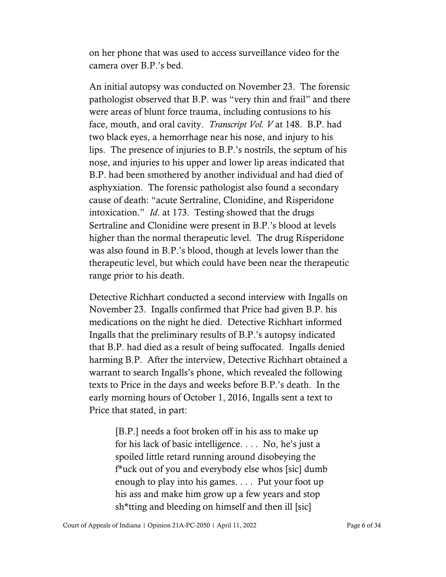on her phone that was used to access surveillance video for the camera over B.P.'s bed.

An initial autopsy was conducted on November 23. The forensic pathologist observed that B.P. was "very thin and frail" and there were areas of blunt force trauma, including contusions to his face, mouth, and oral cavity. *Transcript Vol. V* at 148. B.P. had two black eyes, a hemorrhage near his nose, and injury to his lips. The presence of injuries to B.P.'s nostrils, the septum of his nose, and injuries to his upper and lower lip areas indicated that B.P. had been smothered by another individual and had died of asphyxiation. The forensic pathologist also found a secondary cause of death: "acute Sertraline, Clonidine, and Risperidone intoxication." *Id*. at 173. Testing showed that the drugs Sertraline and Clonidine were present in B.P.'s blood at levels higher than the normal therapeutic level. The drug Risperidone was also found in B.P.'s blood, though at levels lower than the therapeutic level, but which could have been near the therapeutic range prior to his death.

Detective Richhart conducted a second interview with Ingalls on November 23. Ingalls confirmed that Price had given B.P. his medications on the night he died. Detective Richhart informed Ingalls that the preliminary results of B.P.'s autopsy indicated that B.P. had died as a result of being suffocated. Ingalls denied harming B.P. After the interview, Detective Richhart obtained a warrant to search Ingalls's phone, which revealed the following texts to Price in the days and weeks before B.P.'s death. In the early morning hours of October 1, 2016, Ingalls sent a text to Price that stated, in part:

[B.P.] needs a foot broken off in his ass to make up for his lack of basic intelligence. . . . No, he's just a spoiled little retard running around disobeying the f\*uck out of you and everybody else whos [sic] dumb enough to play into his games. . . . Put your foot up his ass and make him grow up a few years and stop sh\*tting and bleeding on himself and then ill [sic]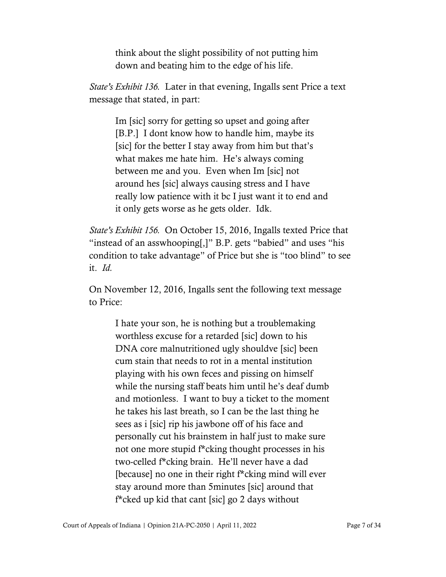think about the slight possibility of not putting him down and beating him to the edge of his life.

*State's Exhibit 136.* Later in that evening, Ingalls sent Price a text message that stated, in part:

Im [sic] sorry for getting so upset and going after [B.P.] I dont know how to handle him, maybe its [sic] for the better I stay away from him but that's what makes me hate him. He's always coming between me and you. Even when Im [sic] not around hes [sic] always causing stress and I have really low patience with it bc I just want it to end and it only gets worse as he gets older. Idk.

*State's Exhibit 156.* On October 15, 2016, Ingalls texted Price that "instead of an asswhooping[,]" B.P. gets "babied" and uses "his condition to take advantage" of Price but she is "too blind" to see it. *Id.*

On November 12, 2016, Ingalls sent the following text message to Price:

I hate your son, he is nothing but a troublemaking worthless excuse for a retarded [sic] down to his DNA core malnutritioned ugly shouldve [sic] been cum stain that needs to rot in a mental institution playing with his own feces and pissing on himself while the nursing staff beats him until he's deaf dumb and motionless. I want to buy a ticket to the moment he takes his last breath, so I can be the last thing he sees as i [sic] rip his jawbone off of his face and personally cut his brainstem in half just to make sure not one more stupid f\*cking thought processes in his two-celled f\*cking brain. He'll never have a dad [because] no one in their right f\*cking mind will ever stay around more than 5minutes [sic] around that f\*cked up kid that cant [sic] go 2 days without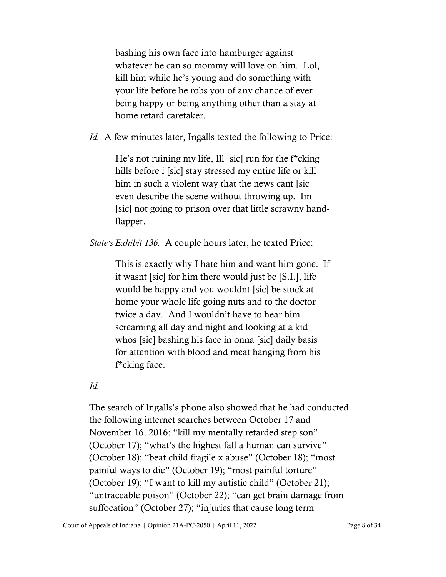bashing his own face into hamburger against whatever he can so mommy will love on him. Lol, kill him while he's young and do something with your life before he robs you of any chance of ever being happy or being anything other than a stay at home retard caretaker.

*Id.* A few minutes later, Ingalls texted the following to Price:

He's not ruining my life, Ill [sic] run for the f\*cking hills before i [sic] stay stressed my entire life or kill him in such a violent way that the news cant [sic] even describe the scene without throwing up. Im [sic] not going to prison over that little scrawny handflapper.

*State's Exhibit 136.* A couple hours later, he texted Price:

This is exactly why I hate him and want him gone. If it wasnt [sic] for him there would just be [S.I.], life would be happy and you wouldnt [sic] be stuck at home your whole life going nuts and to the doctor twice a day. And I wouldn't have to hear him screaming all day and night and looking at a kid whos [sic] bashing his face in onna [sic] daily basis for attention with blood and meat hanging from his f\*cking face.

*Id.*

The search of Ingalls's phone also showed that he had conducted the following internet searches between October 17 and November 16, 2016: "kill my mentally retarded step son" (October 17); "what's the highest fall a human can survive" (October 18); "beat child fragile x abuse" (October 18); "most painful ways to die" (October 19); "most painful torture" (October 19); "I want to kill my autistic child" (October 21); "untraceable poison" (October 22); "can get brain damage from suffocation" (October 27); "injuries that cause long term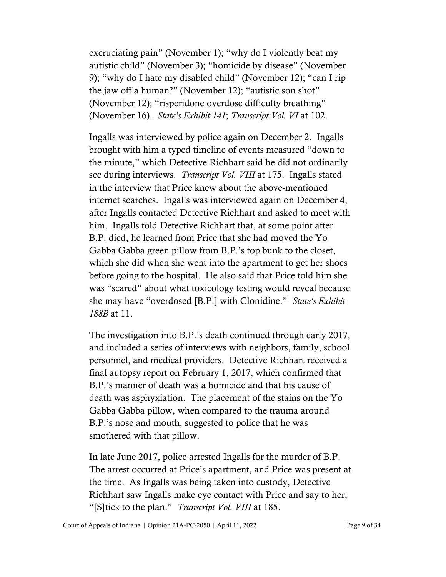excruciating pain" (November 1); "why do I violently beat my autistic child" (November 3); "homicide by disease" (November 9); "why do I hate my disabled child" (November 12); "can I rip the jaw off a human?" (November 12); "autistic son shot" (November 12); "risperidone overdose difficulty breathing" (November 16). *State's Exhibit 141*; *Transcript Vol. VI* at 102.

Ingalls was interviewed by police again on December 2. Ingalls brought with him a typed timeline of events measured "down to the minute," which Detective Richhart said he did not ordinarily see during interviews. *Transcript Vol. VIII* at 175. Ingalls stated in the interview that Price knew about the above-mentioned internet searches. Ingalls was interviewed again on December 4, after Ingalls contacted Detective Richhart and asked to meet with him. Ingalls told Detective Richhart that, at some point after B.P. died, he learned from Price that she had moved the Yo Gabba Gabba green pillow from B.P.'s top bunk to the closet, which she did when she went into the apartment to get her shoes before going to the hospital. He also said that Price told him she was "scared" about what toxicology testing would reveal because she may have "overdosed [B.P.] with Clonidine." *State's Exhibit 188B* at 11.

The investigation into B.P.'s death continued through early 2017, and included a series of interviews with neighbors, family, school personnel, and medical providers. Detective Richhart received a final autopsy report on February 1, 2017, which confirmed that B.P.'s manner of death was a homicide and that his cause of death was asphyxiation. The placement of the stains on the Yo Gabba Gabba pillow, when compared to the trauma around B.P.'s nose and mouth, suggested to police that he was smothered with that pillow.

In late June 2017, police arrested Ingalls for the murder of B.P. The arrest occurred at Price's apartment, and Price was present at the time. As Ingalls was being taken into custody, Detective Richhart saw Ingalls make eye contact with Price and say to her, "[S]tick to the plan." *Transcript Vol. VIII* at 185.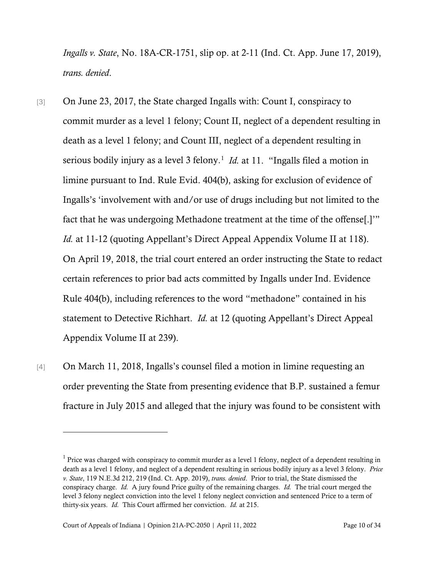*Ingalls v. State*, No. 18A-CR-1751, slip op. at 2-11 (Ind. Ct. App. June 17, 2019), *trans. denied*.

- [3] On June 23, 2017, the State charged Ingalls with: Count I, conspiracy to commit murder as a level 1 felony; Count II, neglect of a dependent resulting in death as a level 1 felony; and Count III, neglect of a dependent resulting in serious bodily injury as a level 3 felony.<sup>[1](#page-9-0)</sup> *Id.* at 11. "Ingalls filed a motion in limine pursuant to Ind. Rule Evid. 404(b), asking for exclusion of evidence of Ingalls's 'involvement with and/or use of drugs including but not limited to the fact that he was undergoing Methadone treatment at the time of the offense[.]'" *Id.* at 11-12 (quoting Appellant's Direct Appeal Appendix Volume II at 118). On April 19, 2018, the trial court entered an order instructing the State to redact certain references to prior bad acts committed by Ingalls under Ind. Evidence Rule 404(b), including references to the word "methadone" contained in his statement to Detective Richhart. *Id.* at 12 (quoting Appellant's Direct Appeal Appendix Volume II at 239).
- [4] On March 11, 2018, Ingalls's counsel filed a motion in limine requesting an order preventing the State from presenting evidence that B.P. sustained a femur fracture in July 2015 and alleged that the injury was found to be consistent with

<span id="page-9-0"></span><sup>1</sup> Price was charged with conspiracy to commit murder as a level 1 felony, neglect of a dependent resulting in death as a level 1 felony, and neglect of a dependent resulting in serious bodily injury as a level 3 felony. *Price v. State*, 119 N.E.3d 212, 219 (Ind. Ct. App. 2019), *trans. denied*. Prior to trial, the State dismissed the conspiracy charge. *Id.* A jury found Price guilty of the remaining charges. *Id.* The trial court merged the level 3 felony neglect conviction into the level 1 felony neglect conviction and sentenced Price to a term of thirty-six years. *Id.* This Court affirmed her conviction. *Id.* at 215.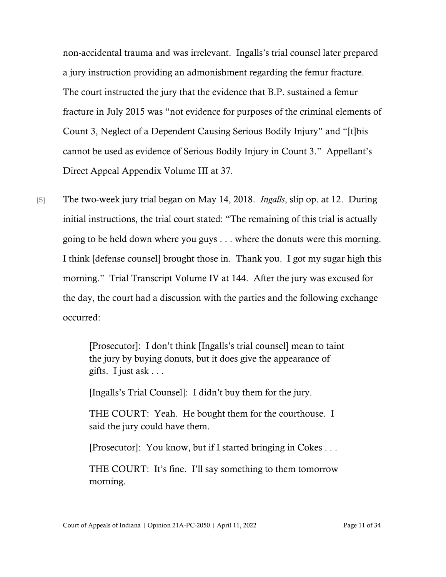non-accidental trauma and was irrelevant. Ingalls's trial counsel later prepared a jury instruction providing an admonishment regarding the femur fracture. The court instructed the jury that the evidence that B.P. sustained a femur fracture in July 2015 was "not evidence for purposes of the criminal elements of Count 3, Neglect of a Dependent Causing Serious Bodily Injury" and "[t]his cannot be used as evidence of Serious Bodily Injury in Count 3." Appellant's Direct Appeal Appendix Volume III at 37.

[5] The two-week jury trial began on May 14, 2018. *Ingalls*, slip op. at 12. During initial instructions, the trial court stated: "The remaining of this trial is actually going to be held down where you guys . . . where the donuts were this morning. I think [defense counsel] brought those in. Thank you. I got my sugar high this morning." Trial Transcript Volume IV at 144. After the jury was excused for the day, the court had a discussion with the parties and the following exchange occurred:

> [Prosecutor]: I don't think [Ingalls's trial counsel] mean to taint the jury by buying donuts, but it does give the appearance of gifts. I just ask . . .

[Ingalls's Trial Counsel]: I didn't buy them for the jury.

THE COURT: Yeah. He bought them for the courthouse. I said the jury could have them.

[Prosecutor]: You know, but if I started bringing in Cokes . . .

THE COURT: It's fine. I'll say something to them tomorrow morning.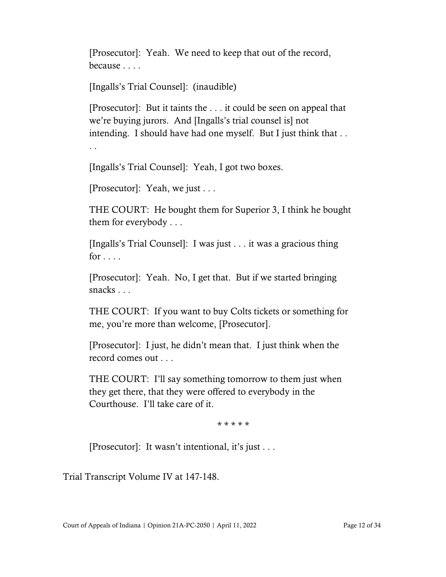[Prosecutor]: Yeah. We need to keep that out of the record, because . . . .

[Ingalls's Trial Counsel]: (inaudible)

[Prosecutor]: But it taints the . . . it could be seen on appeal that we're buying jurors. And [Ingalls's trial counsel is] not intending. I should have had one myself. But I just think that . .

. .

[Ingalls's Trial Counsel]: Yeah, I got two boxes.

[Prosecutor]: Yeah, we just . . .

THE COURT: He bought them for Superior 3, I think he bought them for everybody . . .

[Ingalls's Trial Counsel]: I was just . . . it was a gracious thing for  $\ldots$ .

[Prosecutor]: Yeah. No, I get that. But if we started bringing snacks . . .

THE COURT: If you want to buy Colts tickets or something for me, you're more than welcome, [Prosecutor].

[Prosecutor]: I just, he didn't mean that. I just think when the record comes out . . .

THE COURT: I'll say something tomorrow to them just when they get there, that they were offered to everybody in the Courthouse. I'll take care of it.

\* \* \* \* \*

[Prosecutor]: It wasn't intentional, it's just . . .

Trial Transcript Volume IV at 147-148.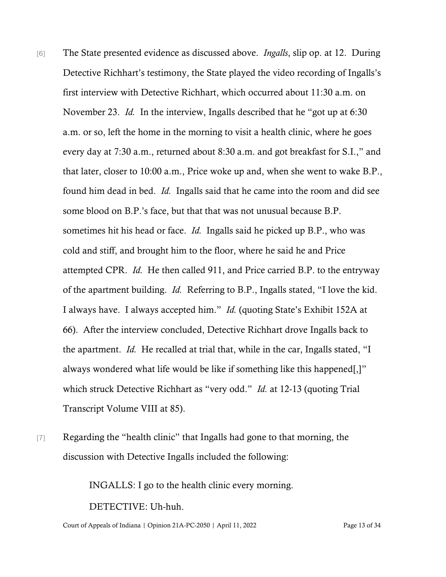- [6] The State presented evidence as discussed above. *Ingalls*, slip op. at 12. During Detective Richhart's testimony, the State played the video recording of Ingalls's first interview with Detective Richhart, which occurred about 11:30 a.m. on November 23. *Id.* In the interview, Ingalls described that he "got up at 6:30 a.m. or so, left the home in the morning to visit a health clinic, where he goes every day at 7:30 a.m., returned about 8:30 a.m. and got breakfast for S.I.," and that later, closer to 10:00 a.m., Price woke up and, when she went to wake B.P., found him dead in bed. *Id.* Ingalls said that he came into the room and did see some blood on B.P.'s face, but that that was not unusual because B.P. sometimes hit his head or face. *Id.* Ingalls said he picked up B.P., who was cold and stiff, and brought him to the floor, where he said he and Price attempted CPR. *Id.* He then called 911, and Price carried B.P. to the entryway of the apartment building. *Id.* Referring to B.P., Ingalls stated, "I love the kid. I always have. I always accepted him." *Id.* (quoting State's Exhibit 152A at 66). After the interview concluded, Detective Richhart drove Ingalls back to the apartment. *Id.* He recalled at trial that, while in the car, Ingalls stated, "I always wondered what life would be like if something like this happened[,]" which struck Detective Richhart as "very odd." *Id.* at 12-13 (quoting Trial Transcript Volume VIII at 85).
- [7] Regarding the "health clinic" that Ingalls had gone to that morning, the discussion with Detective Ingalls included the following:

INGALLS: I go to the health clinic every morning.

DETECTIVE: Uh-huh.

Court of Appeals of Indiana | Opinion 21A-PC-2050 | April 11, 2022 Page 13 of 34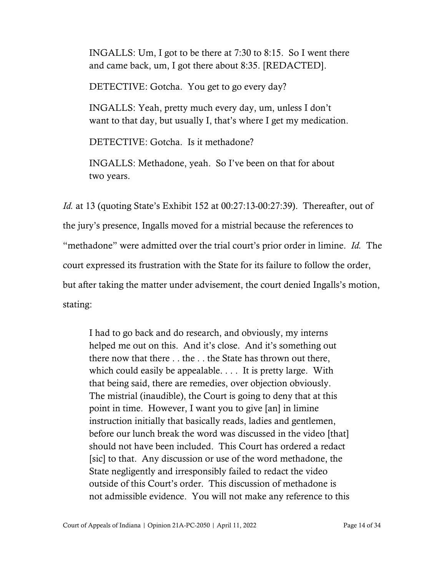INGALLS: Um, I got to be there at 7:30 to 8:15. So I went there and came back, um, I got there about 8:35. [REDACTED].

DETECTIVE: Gotcha. You get to go every day?

INGALLS: Yeah, pretty much every day, um, unless I don't want to that day, but usually I, that's where I get my medication.

DETECTIVE: Gotcha. Is it methadone?

INGALLS: Methadone, yeah. So I've been on that for about two years.

*Id.* at 13 (quoting State's Exhibit 152 at 00:27:13-00:27:39). Thereafter, out of the jury's presence, Ingalls moved for a mistrial because the references to "methadone" were admitted over the trial court's prior order in limine. *Id.* The court expressed its frustration with the State for its failure to follow the order, but after taking the matter under advisement, the court denied Ingalls's motion, stating:

I had to go back and do research, and obviously, my interns helped me out on this. And it's close. And it's something out there now that there . . the . . the State has thrown out there, which could easily be appealable. . . . It is pretty large. With that being said, there are remedies, over objection obviously. The mistrial (inaudible), the Court is going to deny that at this point in time. However, I want you to give [an] in limine instruction initially that basically reads, ladies and gentlemen, before our lunch break the word was discussed in the video [that] should not have been included. This Court has ordered a redact [sic] to that. Any discussion or use of the word methadone, the State negligently and irresponsibly failed to redact the video outside of this Court's order. This discussion of methadone is not admissible evidence. You will not make any reference to this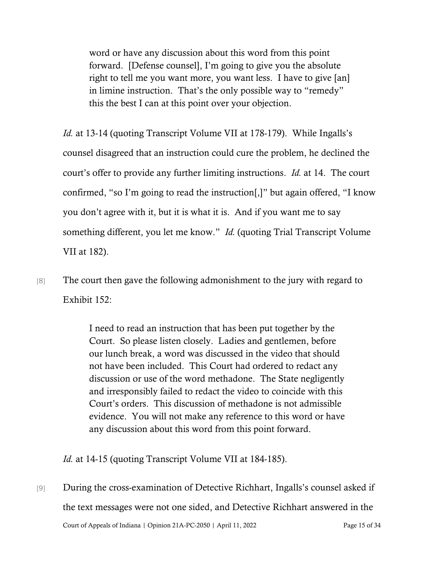word or have any discussion about this word from this point forward. [Defense counsel], I'm going to give you the absolute right to tell me you want more, you want less. I have to give [an] in limine instruction. That's the only possible way to "remedy" this the best I can at this point over your objection.

*Id.* at 13-14 (quoting Transcript Volume VII at 178-179). While Ingalls's counsel disagreed that an instruction could cure the problem, he declined the court's offer to provide any further limiting instructions. *Id.* at 14. The court confirmed, "so I'm going to read the instruction[,]" but again offered, "I know you don't agree with it, but it is what it is. And if you want me to say something different, you let me know." *Id.* (quoting Trial Transcript Volume VII at 182).

[8] The court then gave the following admonishment to the jury with regard to Exhibit 152:

> I need to read an instruction that has been put together by the Court. So please listen closely. Ladies and gentlemen, before our lunch break, a word was discussed in the video that should not have been included. This Court had ordered to redact any discussion or use of the word methadone. The State negligently and irresponsibly failed to redact the video to coincide with this Court's orders. This discussion of methadone is not admissible evidence. You will not make any reference to this word or have any discussion about this word from this point forward.

*Id.* at 14-15 (quoting Transcript Volume VII at 184-185).

Court of Appeals of Indiana | Opinion 21A-PC-2050 | April 11, 2022 Page 15 of 34 [9] During the cross-examination of Detective Richhart, Ingalls's counsel asked if the text messages were not one sided, and Detective Richhart answered in the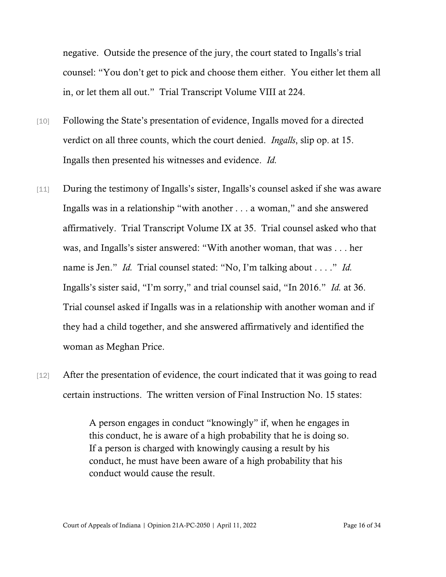negative. Outside the presence of the jury, the court stated to Ingalls's trial counsel: "You don't get to pick and choose them either. You either let them all in, or let them all out." Trial Transcript Volume VIII at 224.

- [10] Following the State's presentation of evidence, Ingalls moved for a directed verdict on all three counts, which the court denied. *Ingalls*, slip op. at 15. Ingalls then presented his witnesses and evidence. *Id.*
- [11] During the testimony of Ingalls's sister, Ingalls's counsel asked if she was aware Ingalls was in a relationship "with another . . . a woman," and she answered affirmatively. Trial Transcript Volume IX at 35. Trial counsel asked who that was, and Ingalls's sister answered: "With another woman, that was . . . her name is Jen." *Id.* Trial counsel stated: "No, I'm talking about . . . ." *Id.* Ingalls's sister said, "I'm sorry," and trial counsel said, "In 2016." *Id.* at 36. Trial counsel asked if Ingalls was in a relationship with another woman and if they had a child together, and she answered affirmatively and identified the woman as Meghan Price.
- [12] After the presentation of evidence, the court indicated that it was going to read certain instructions. The written version of Final Instruction No. 15 states:

A person engages in conduct "knowingly" if, when he engages in this conduct, he is aware of a high probability that he is doing so. If a person is charged with knowingly causing a result by his conduct, he must have been aware of a high probability that his conduct would cause the result.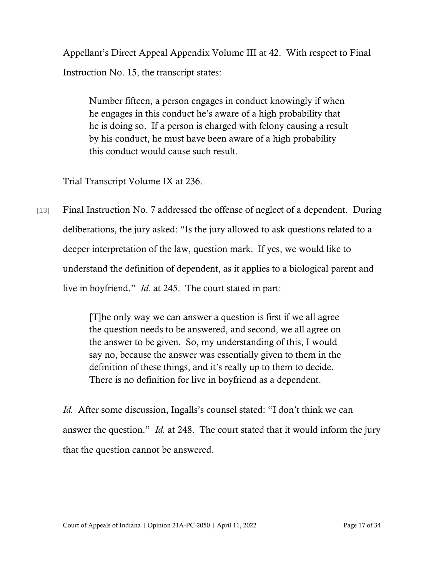Appellant's Direct Appeal Appendix Volume III at 42. With respect to Final Instruction No. 15, the transcript states:

Number fifteen, a person engages in conduct knowingly if when he engages in this conduct he's aware of a high probability that he is doing so. If a person is charged with felony causing a result by his conduct, he must have been aware of a high probability this conduct would cause such result.

Trial Transcript Volume IX at 236.

[13] Final Instruction No. 7 addressed the offense of neglect of a dependent. During deliberations, the jury asked: "Is the jury allowed to ask questions related to a deeper interpretation of the law, question mark. If yes, we would like to understand the definition of dependent, as it applies to a biological parent and live in boyfriend." *Id.* at 245. The court stated in part:

> [T]he only way we can answer a question is first if we all agree the question needs to be answered, and second, we all agree on the answer to be given. So, my understanding of this, I would say no, because the answer was essentially given to them in the definition of these things, and it's really up to them to decide. There is no definition for live in boyfriend as a dependent.

*Id.* After some discussion, Ingalls's counsel stated: "I don't think we can answer the question." *Id.* at 248. The court stated that it would inform the jury that the question cannot be answered.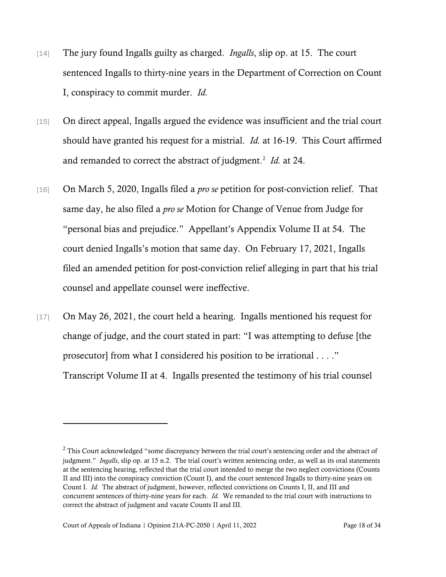- [14] The jury found Ingalls guilty as charged. *Ingalls*, slip op. at 15. The court sentenced Ingalls to thirty-nine years in the Department of Correction on Count I, conspiracy to commit murder. *Id.*
- [15] On direct appeal, Ingalls argued the evidence was insufficient and the trial court should have granted his request for a mistrial. *Id.* at 16-19. This Court affirmed and remanded to correct the abstract of judgment. [2](#page-17-0) *Id.* at 24.
- [16] On March 5, 2020, Ingalls filed a *pro se* petition for post-conviction relief. That same day, he also filed a *pro se* Motion for Change of Venue from Judge for "personal bias and prejudice." Appellant's Appendix Volume II at 54. The court denied Ingalls's motion that same day. On February 17, 2021, Ingalls filed an amended petition for post-conviction relief alleging in part that his trial counsel and appellate counsel were ineffective.
- [17] On May 26, 2021, the court held a hearing. Ingalls mentioned his request for change of judge, and the court stated in part: "I was attempting to defuse [the prosecutor] from what I considered his position to be irrational . . . ." Transcript Volume II at 4. Ingalls presented the testimony of his trial counsel

<span id="page-17-0"></span> $2$  This Court acknowledged "some discrepancy between the trial court's sentencing order and the abstract of judgment." *Ingalls*, slip op. at 15 n.2. The trial court's written sentencing order, as well as its oral statements at the sentencing hearing, reflected that the trial court intended to merge the two neglect convictions (Counts II and III) into the conspiracy conviction (Count I), and the court sentenced Ingalls to thirty-nine years on Count I. *Id.* The abstract of judgment, however, reflected convictions on Counts I, II, and III and concurrent sentences of thirty-nine years for each. *Id.* We remanded to the trial court with instructions to correct the abstract of judgment and vacate Counts II and III.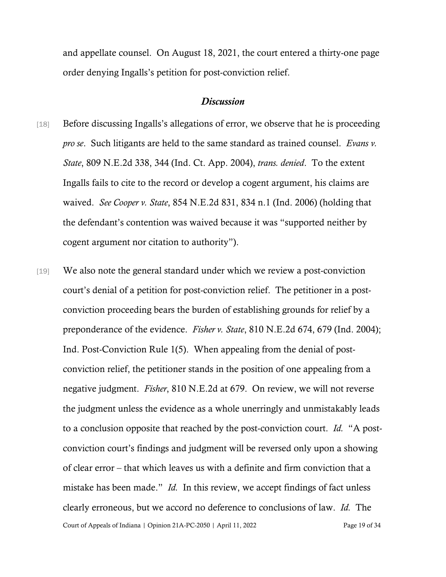and appellate counsel. On August 18, 2021, the court entered a thirty-one page order denying Ingalls's petition for post-conviction relief.

## *Discussion*

- [18] Before discussing Ingalls's allegations of error, we observe that he is proceeding *pro se*. Such litigants are held to the same standard as trained counsel. *Evans v. State*, 809 N.E.2d 338, 344 (Ind. Ct. App. 2004), *trans. denied*. To the extent Ingalls fails to cite to the record or develop a cogent argument, his claims are waived. *See Cooper v. State*, 854 N.E.2d 831, 834 n.1 (Ind. 2006) (holding that the defendant's contention was waived because it was "supported neither by cogent argument nor citation to authority").
- Court of Appeals of Indiana | Opinion 21A-PC-2050 | April 11, 2022 Page 19 of 34 [19] We also note the general standard under which we review a post-conviction court's denial of a petition for post-conviction relief. The petitioner in a postconviction proceeding bears the burden of establishing grounds for relief by a preponderance of the evidence. *Fisher v. State*, 810 N.E.2d 674, 679 (Ind. 2004); Ind. Post-Conviction Rule 1(5). When appealing from the denial of postconviction relief, the petitioner stands in the position of one appealing from a negative judgment. *Fisher*, 810 N.E.2d at 679. On review, we will not reverse the judgment unless the evidence as a whole unerringly and unmistakably leads to a conclusion opposite that reached by the post-conviction court. *Id.* "A postconviction court's findings and judgment will be reversed only upon a showing of clear error – that which leaves us with a definite and firm conviction that a mistake has been made." *Id.* In this review, we accept findings of fact unless clearly erroneous, but we accord no deference to conclusions of law. *Id.* The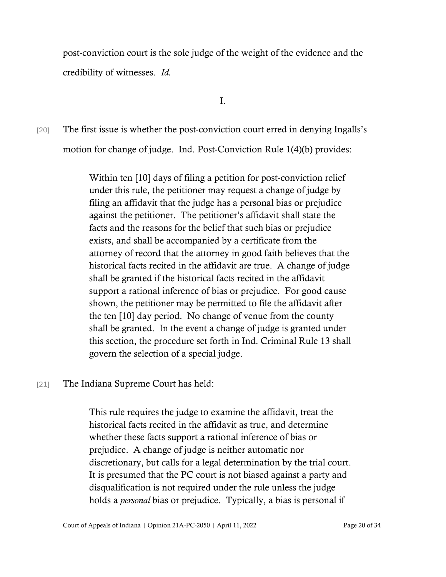post-conviction court is the sole judge of the weight of the evidence and the credibility of witnesses. *Id.*

I.

[20] The first issue is whether the post-conviction court erred in denying Ingalls's motion for change of judge. Ind. Post-Conviction Rule 1(4)(b) provides:

> Within ten [10] days of filing a petition for post-conviction relief under this rule, the petitioner may request a change of judge by filing an affidavit that the judge has a personal bias or prejudice against the petitioner. The petitioner's affidavit shall state the facts and the reasons for the belief that such bias or prejudice exists, and shall be accompanied by a certificate from the attorney of record that the attorney in good faith believes that the historical facts recited in the affidavit are true. A change of judge shall be granted if the historical facts recited in the affidavit support a rational inference of bias or prejudice. For good cause shown, the petitioner may be permitted to file the affidavit after the ten [10] day period. No change of venue from the county shall be granted. In the event a change of judge is granted under this section, the procedure set forth in Ind. Criminal Rule 13 shall govern the selection of a special judge.

# [21] The Indiana Supreme Court has held:

This rule requires the judge to examine the affidavit, treat the historical facts recited in the affidavit as true, and determine whether these facts support a rational inference of bias or prejudice. A change of judge is neither automatic nor discretionary, but calls for a legal determination by the trial court. It is presumed that the PC court is not biased against a party and disqualification is not required under the rule unless the judge holds a *personal* bias or prejudice. Typically, a bias is personal if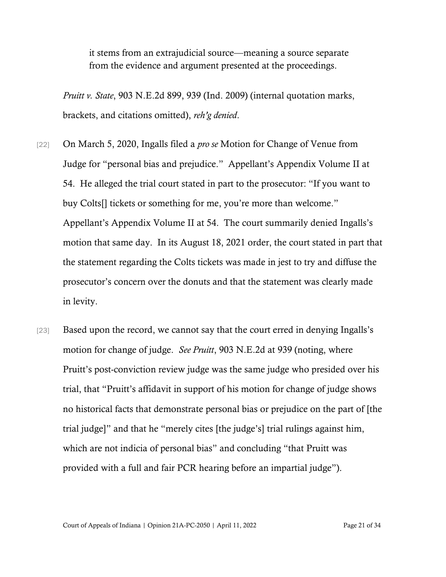it stems from an extrajudicial source—meaning a source separate from the evidence and argument presented at the proceedings.

*Pruitt v. State*, 903 N.E.2d 899, 939 (Ind. 2009) (internal quotation marks, brackets, and citations omitted), *reh'g denied*.

- [22] On March 5, 2020, Ingalls filed a *pro se* Motion for Change of Venue from Judge for "personal bias and prejudice." Appellant's Appendix Volume II at 54. He alleged the trial court stated in part to the prosecutor: "If you want to buy Colts[] tickets or something for me, you're more than welcome." Appellant's Appendix Volume II at 54. The court summarily denied Ingalls's motion that same day. In its August 18, 2021 order, the court stated in part that the statement regarding the Colts tickets was made in jest to try and diffuse the prosecutor's concern over the donuts and that the statement was clearly made in levity.
- [23] Based upon the record, we cannot say that the court erred in denying Ingalls's motion for change of judge. *See Pruitt*, 903 N.E.2d at 939 (noting, where Pruitt's post-conviction review judge was the same judge who presided over his trial, that "Pruitt's affidavit in support of his motion for change of judge shows no historical facts that demonstrate personal bias or prejudice on the part of [the trial judge]" and that he "merely cites [the judge's] trial rulings against him, which are not indicia of personal bias" and concluding "that Pruitt was provided with a full and fair PCR hearing before an impartial judge").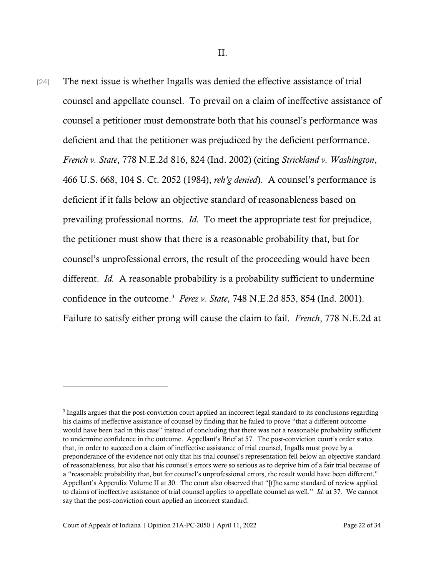[24] The next issue is whether Ingalls was denied the effective assistance of trial counsel and appellate counsel. To prevail on a claim of ineffective assistance of counsel a petitioner must demonstrate both that his counsel's performance was deficient and that the petitioner was prejudiced by the deficient performance. *French v. State*, 778 N.E.2d 816, 824 (Ind. 2002) (citing *Strickland v. Washington*, 466 U.S. 668, 104 S. Ct. 2052 (1984), *reh'g denied*). A counsel's performance is deficient if it falls below an objective standard of reasonableness based on prevailing professional norms. *Id.* To meet the appropriate test for prejudice, the petitioner must show that there is a reasonable probability that, but for counsel's unprofessional errors, the result of the proceeding would have been different. *Id.* A reasonable probability is a probability sufficient to undermine confidence in the outcome.[3](#page-21-0) *Perez v. State*, 748 N.E.2d 853, 854 (Ind. 2001). Failure to satisfy either prong will cause the claim to fail. *French*, 778 N.E.2d at

<span id="page-21-0"></span><sup>3</sup> Ingalls argues that the post-conviction court applied an incorrect legal standard to its conclusions regarding his claims of ineffective assistance of counsel by finding that he failed to prove "that a different outcome would have been had in this case" instead of concluding that there was not a reasonable probability sufficient to undermine confidence in the outcome. Appellant's Brief at 57. The post-conviction court's order states that, in order to succeed on a claim of ineffective assistance of trial counsel, Ingalls must prove by a preponderance of the evidence not only that his trial counsel's representation fell below an objective standard of reasonableness, but also that his counsel's errors were so serious as to deprive him of a fair trial because of a "reasonable probability that, but for counsel's unprofessional errors, the result would have been different." Appellant's Appendix Volume II at 30. The court also observed that "[t]he same standard of review applied to claims of ineffective assistance of trial counsel applies to appellate counsel as well." *Id.* at 37. We cannot say that the post-conviction court applied an incorrect standard.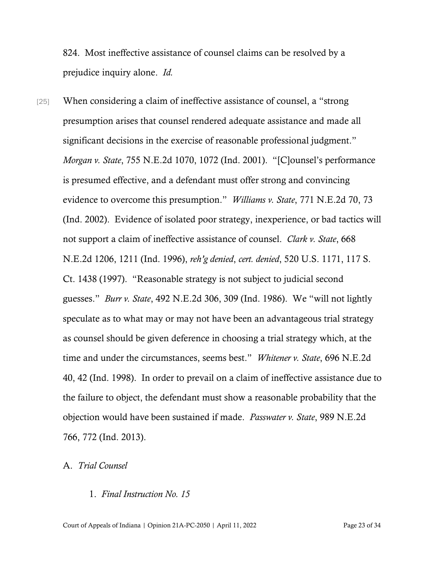824. Most ineffective assistance of counsel claims can be resolved by a prejudice inquiry alone. *Id.*

[25] When considering a claim of ineffective assistance of counsel, a "strong presumption arises that counsel rendered adequate assistance and made all significant decisions in the exercise of reasonable professional judgment." *Morgan v. State*, 755 N.E.2d 1070, 1072 (Ind. 2001). "[C]ounsel's performance is presumed effective, and a defendant must offer strong and convincing evidence to overcome this presumption." *Williams v. State*, 771 N.E.2d 70, 73 (Ind. 2002). Evidence of isolated poor strategy, inexperience, or bad tactics will not support a claim of ineffective assistance of counsel. *Clark v. State*, 668 N.E.2d 1206, 1211 (Ind. 1996), *reh'g denied*, *cert. denied*, 520 U.S. 1171, 117 S. Ct. 1438 (1997). "Reasonable strategy is not subject to judicial second guesses." *Burr v. State*, 492 N.E.2d 306, 309 (Ind. 1986). We "will not lightly speculate as to what may or may not have been an advantageous trial strategy as counsel should be given deference in choosing a trial strategy which, at the time and under the circumstances, seems best." *Whitener v. State*, 696 N.E.2d 40, 42 (Ind. 1998). In order to prevail on a claim of ineffective assistance due to the failure to object, the defendant must show a reasonable probability that the objection would have been sustained if made. *Passwater v. State*, 989 N.E.2d 766, 772 (Ind. 2013).

## A. *Trial Counsel*

# 1. *Final Instruction No. 15*

Court of Appeals of Indiana | Opinion 21A-PC-2050 | April 11, 2022 Page 23 of 34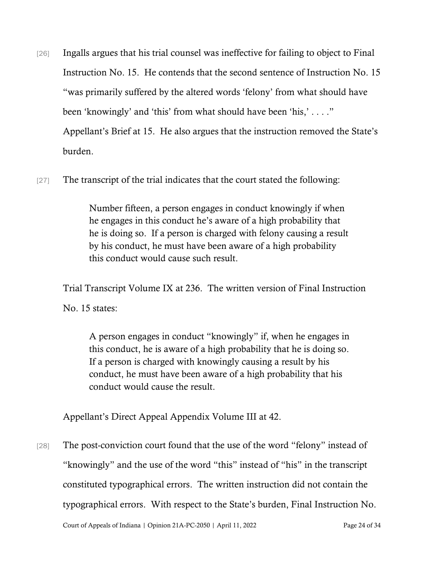- [26] Ingalls argues that his trial counsel was ineffective for failing to object to Final Instruction No. 15. He contends that the second sentence of Instruction No. 15 "was primarily suffered by the altered words 'felony' from what should have been 'knowingly' and 'this' from what should have been 'his,' . . . ." Appellant's Brief at 15. He also argues that the instruction removed the State's burden.
- [27] The transcript of the trial indicates that the court stated the following:

Number fifteen, a person engages in conduct knowingly if when he engages in this conduct he's aware of a high probability that he is doing so. If a person is charged with felony causing a result by his conduct, he must have been aware of a high probability this conduct would cause such result.

Trial Transcript Volume IX at 236. The written version of Final Instruction No. 15 states:

A person engages in conduct "knowingly" if, when he engages in this conduct, he is aware of a high probability that he is doing so. If a person is charged with knowingly causing a result by his conduct, he must have been aware of a high probability that his conduct would cause the result.

Appellant's Direct Appeal Appendix Volume III at 42.

[28] The post-conviction court found that the use of the word "felony" instead of "knowingly" and the use of the word "this" instead of "his" in the transcript constituted typographical errors. The written instruction did not contain the typographical errors. With respect to the State's burden, Final Instruction No.

Court of Appeals of Indiana | Opinion 21A-PC-2050 | April 11, 2022 Page 24 of 34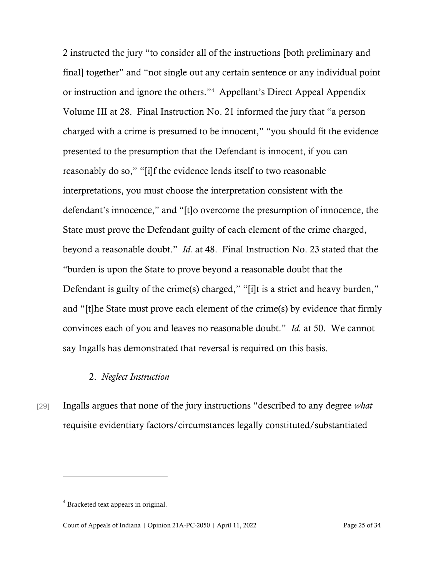2 instructed the jury "to consider all of the instructions [both preliminary and final] together" and "not single out any certain sentence or any individual point or instruction and ignore the others."[4](#page-24-0) Appellant's Direct Appeal Appendix Volume III at 28. Final Instruction No. 21 informed the jury that "a person charged with a crime is presumed to be innocent," "you should fit the evidence presented to the presumption that the Defendant is innocent, if you can reasonably do so," "[i]f the evidence lends itself to two reasonable interpretations, you must choose the interpretation consistent with the defendant's innocence," and "[t]o overcome the presumption of innocence, the State must prove the Defendant guilty of each element of the crime charged, beyond a reasonable doubt." *Id.* at 48. Final Instruction No. 23 stated that the "burden is upon the State to prove beyond a reasonable doubt that the Defendant is guilty of the crime(s) charged," "[i]t is a strict and heavy burden," and "[t]he State must prove each element of the crime(s) by evidence that firmly convinces each of you and leaves no reasonable doubt." *Id.* at 50. We cannot say Ingalls has demonstrated that reversal is required on this basis.

# 2. *Neglect Instruction*

[29] Ingalls argues that none of the jury instructions "described to any degree *what*  requisite evidentiary factors/circumstances legally constituted/substantiated

<span id="page-24-0"></span><sup>4</sup> Bracketed text appears in original.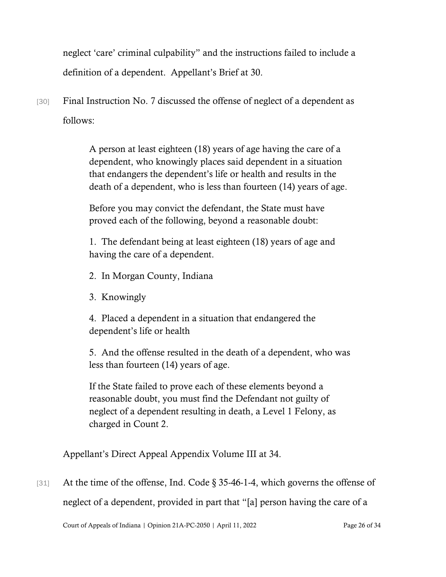neglect 'care' criminal culpability" and the instructions failed to include a definition of a dependent. Appellant's Brief at 30.

[30] Final Instruction No. 7 discussed the offense of neglect of a dependent as follows:

> A person at least eighteen (18) years of age having the care of a dependent, who knowingly places said dependent in a situation that endangers the dependent's life or health and results in the death of a dependent, who is less than fourteen (14) years of age.

Before you may convict the defendant, the State must have proved each of the following, beyond a reasonable doubt:

1. The defendant being at least eighteen (18) years of age and having the care of a dependent.

2. In Morgan County, Indiana

3. Knowingly

4. Placed a dependent in a situation that endangered the dependent's life or health

5. And the offense resulted in the death of a dependent, who was less than fourteen (14) years of age.

If the State failed to prove each of these elements beyond a reasonable doubt, you must find the Defendant not guilty of neglect of a dependent resulting in death, a Level 1 Felony, as charged in Count 2.

Appellant's Direct Appeal Appendix Volume III at 34.

[31] At the time of the offense, Ind. Code § 35-46-1-4, which governs the offense of neglect of a dependent, provided in part that "[a] person having the care of a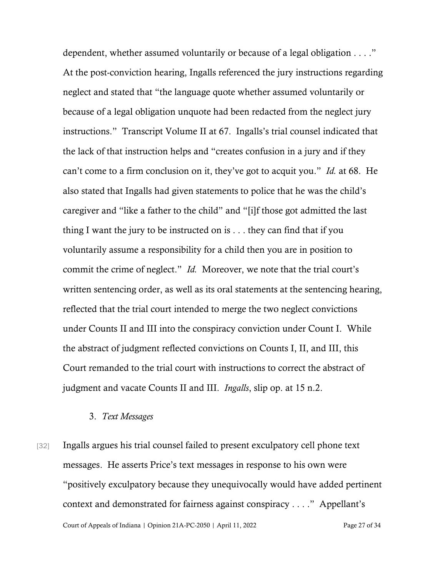dependent, whether assumed voluntarily or because of a legal obligation . . . ." At the post-conviction hearing, Ingalls referenced the jury instructions regarding neglect and stated that "the language quote whether assumed voluntarily or because of a legal obligation unquote had been redacted from the neglect jury instructions." Transcript Volume II at 67. Ingalls's trial counsel indicated that the lack of that instruction helps and "creates confusion in a jury and if they can't come to a firm conclusion on it, they've got to acquit you." *Id.* at 68. He also stated that Ingalls had given statements to police that he was the child's caregiver and "like a father to the child" and "[i]f those got admitted the last thing I want the jury to be instructed on is . . . they can find that if you voluntarily assume a responsibility for a child then you are in position to commit the crime of neglect." *Id.* Moreover, we note that the trial court's written sentencing order, as well as its oral statements at the sentencing hearing, reflected that the trial court intended to merge the two neglect convictions under Counts II and III into the conspiracy conviction under Count I. While the abstract of judgment reflected convictions on Counts I, II, and III, this Court remanded to the trial court with instructions to correct the abstract of judgment and vacate Counts II and III. *Ingalls*, slip op. at 15 n.2.

### 3. *Text Messages*

Court of Appeals of Indiana | Opinion 21A-PC-2050 | April 11, 2022 Page 27 of 34 [32] Ingalls argues his trial counsel failed to present exculpatory cell phone text messages. He asserts Price's text messages in response to his own were "positively exculpatory because they unequivocally would have added pertinent context and demonstrated for fairness against conspiracy . . . ." Appellant's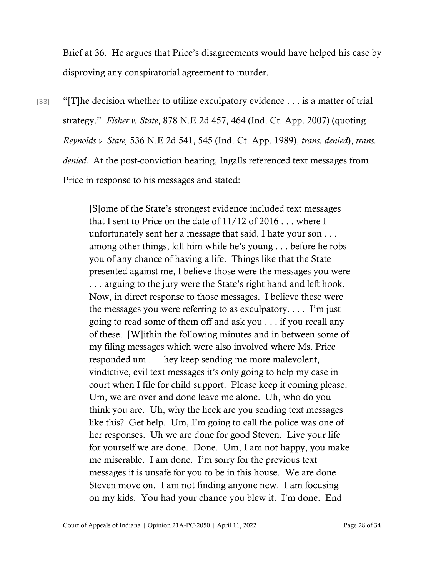Brief at 36. He argues that Price's disagreements would have helped his case by disproving any conspiratorial agreement to murder.

 $[33]$  "[T]he decision whether to utilize exculpatory evidence . . . is a matter of trial strategy." *Fisher v. State*, 878 N.E.2d 457, 464 (Ind. Ct. App. 2007) (quoting *Reynolds v. State,* 536 N.E.2d 541, 545 (Ind. Ct. App. 1989), *trans. denied*), *trans. denied.* At the post-conviction hearing, Ingalls referenced text messages from Price in response to his messages and stated:

> [S]ome of the State's strongest evidence included text messages that I sent to Price on the date of 11/12 of 2016 . . . where I unfortunately sent her a message that said, I hate your son . . . among other things, kill him while he's young . . . before he robs you of any chance of having a life. Things like that the State presented against me, I believe those were the messages you were . . . arguing to the jury were the State's right hand and left hook. Now, in direct response to those messages. I believe these were the messages you were referring to as exculpatory. . . . I'm just going to read some of them off and ask you . . . if you recall any of these. [W]ithin the following minutes and in between some of my filing messages which were also involved where Ms. Price responded um . . . hey keep sending me more malevolent, vindictive, evil text messages it's only going to help my case in court when I file for child support. Please keep it coming please. Um, we are over and done leave me alone. Uh, who do you think you are. Uh, why the heck are you sending text messages like this? Get help. Um, I'm going to call the police was one of her responses. Uh we are done for good Steven. Live your life for yourself we are done. Done. Um, I am not happy, you make me miserable. I am done. I'm sorry for the previous text messages it is unsafe for you to be in this house. We are done Steven move on. I am not finding anyone new. I am focusing on my kids. You had your chance you blew it. I'm done. End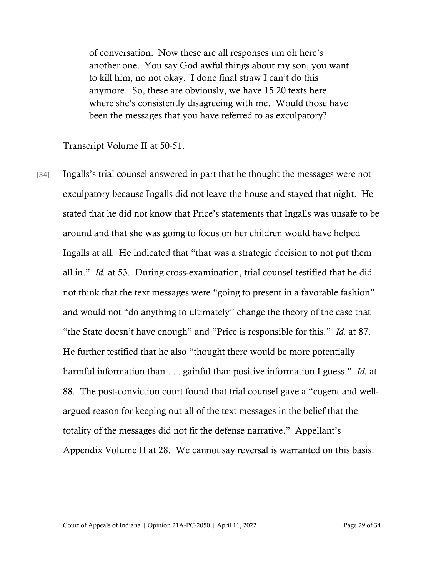of conversation. Now these are all responses um oh here's another one. You say God awful things about my son, you want to kill him, no not okay. I done final straw I can't do this anymore. So, these are obviously, we have 15 20 texts here where she's consistently disagreeing with me. Would those have been the messages that you have referred to as exculpatory?

Transcript Volume II at 50-51.

[34] Ingalls's trial counsel answered in part that he thought the messages were not exculpatory because Ingalls did not leave the house and stayed that night. He stated that he did not know that Price's statements that Ingalls was unsafe to be around and that she was going to focus on her children would have helped Ingalls at all. He indicated that "that was a strategic decision to not put them all in." *Id.* at 53. During cross-examination, trial counsel testified that he did not think that the text messages were "going to present in a favorable fashion" and would not "do anything to ultimately" change the theory of the case that "the State doesn't have enough" and "Price is responsible for this." *Id.* at 87. He further testified that he also "thought there would be more potentially harmful information than . . . gainful than positive information I guess." *Id.* at 88. The post-conviction court found that trial counsel gave a "cogent and wellargued reason for keeping out all of the text messages in the belief that the totality of the messages did not fit the defense narrative." Appellant's Appendix Volume II at 28. We cannot say reversal is warranted on this basis.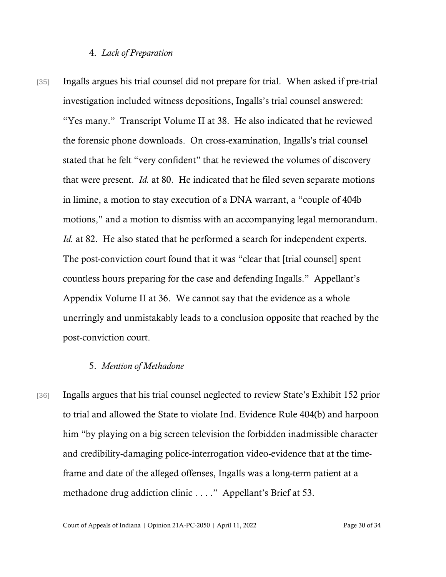#### 4. *Lack of Preparation*

[35] Ingalls argues his trial counsel did not prepare for trial. When asked if pre-trial investigation included witness depositions, Ingalls's trial counsel answered: "Yes many." Transcript Volume II at 38. He also indicated that he reviewed the forensic phone downloads. On cross-examination, Ingalls's trial counsel stated that he felt "very confident" that he reviewed the volumes of discovery that were present. *Id.* at 80. He indicated that he filed seven separate motions in limine, a motion to stay execution of a DNA warrant, a "couple of 404b motions," and a motion to dismiss with an accompanying legal memorandum. *Id.* at 82. He also stated that he performed a search for independent experts. The post-conviction court found that it was "clear that [trial counsel] spent countless hours preparing for the case and defending Ingalls." Appellant's Appendix Volume II at 36. We cannot say that the evidence as a whole unerringly and unmistakably leads to a conclusion opposite that reached by the post-conviction court.

#### 5. *Mention of Methadone*

[36] Ingalls argues that his trial counsel neglected to review State's Exhibit 152 prior to trial and allowed the State to violate Ind. Evidence Rule 404(b) and harpoon him "by playing on a big screen television the forbidden inadmissible character and credibility-damaging police-interrogation video-evidence that at the timeframe and date of the alleged offenses, Ingalls was a long-term patient at a methadone drug addiction clinic . . . ." Appellant's Brief at 53.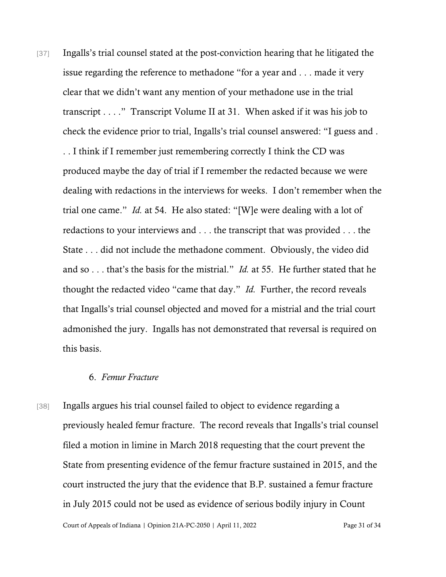[37] Ingalls's trial counsel stated at the post-conviction hearing that he litigated the issue regarding the reference to methadone "for a year and . . . made it very clear that we didn't want any mention of your methadone use in the trial transcript . . . ." Transcript Volume II at 31. When asked if it was his job to check the evidence prior to trial, Ingalls's trial counsel answered: "I guess and . . . I think if I remember just remembering correctly I think the CD was produced maybe the day of trial if I remember the redacted because we were dealing with redactions in the interviews for weeks. I don't remember when the trial one came." *Id.* at 54. He also stated: "[W]e were dealing with a lot of redactions to your interviews and . . . the transcript that was provided . . . the State . . . did not include the methadone comment. Obviously, the video did and so . . . that's the basis for the mistrial." *Id.* at 55. He further stated that he thought the redacted video "came that day." *Id.* Further, the record reveals that Ingalls's trial counsel objected and moved for a mistrial and the trial court admonished the jury. Ingalls has not demonstrated that reversal is required on this basis.

# 6. *Femur Fracture*

[38] Ingalls argues his trial counsel failed to object to evidence regarding a previously healed femur fracture. The record reveals that Ingalls's trial counsel filed a motion in limine in March 2018 requesting that the court prevent the State from presenting evidence of the femur fracture sustained in 2015, and the court instructed the jury that the evidence that B.P. sustained a femur fracture in July 2015 could not be used as evidence of serious bodily injury in Count

Court of Appeals of Indiana | Opinion 21A-PC-2050 | April 11, 2022 Page 31 of 34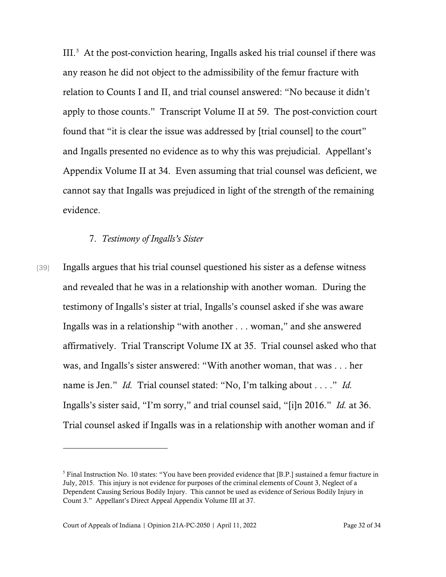III.[5](#page-31-0) At the post-conviction hearing, Ingalls asked his trial counsel if there was any reason he did not object to the admissibility of the femur fracture with relation to Counts I and II, and trial counsel answered: "No because it didn't apply to those counts." Transcript Volume II at 59. The post-conviction court found that "it is clear the issue was addressed by [trial counsel] to the court" and Ingalls presented no evidence as to why this was prejudicial. Appellant's Appendix Volume II at 34. Even assuming that trial counsel was deficient, we cannot say that Ingalls was prejudiced in light of the strength of the remaining evidence.

#### 7. *Testimony of Ingalls's Sister*

[39] Ingalls argues that his trial counsel questioned his sister as a defense witness and revealed that he was in a relationship with another woman. During the testimony of Ingalls's sister at trial, Ingalls's counsel asked if she was aware Ingalls was in a relationship "with another . . . woman," and she answered affirmatively. Trial Transcript Volume IX at 35. Trial counsel asked who that was, and Ingalls's sister answered: "With another woman, that was . . . her name is Jen." *Id.* Trial counsel stated: "No, I'm talking about . . . ." *Id.* Ingalls's sister said, "I'm sorry," and trial counsel said, "[i]n 2016." *Id.* at 36. Trial counsel asked if Ingalls was in a relationship with another woman and if

<span id="page-31-0"></span><sup>&</sup>lt;sup>5</sup> Final Instruction No. 10 states: "You have been provided evidence that [B.P.] sustained a femur fracture in July, 2015. This injury is not evidence for purposes of the criminal elements of Count 3, Neglect of a Dependent Causing Serious Bodily Injury. This cannot be used as evidence of Serious Bodily Injury in Count 3." Appellant's Direct Appeal Appendix Volume III at 37.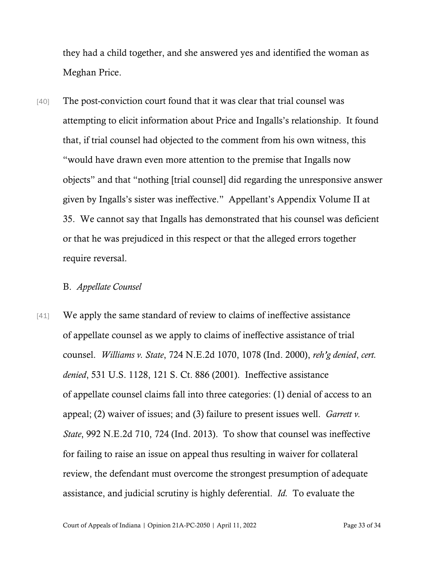they had a child together, and she answered yes and identified the woman as Meghan Price.

[40] The post-conviction court found that it was clear that trial counsel was attempting to elicit information about Price and Ingalls's relationship. It found that, if trial counsel had objected to the comment from his own witness, this "would have drawn even more attention to the premise that Ingalls now objects" and that "nothing [trial counsel] did regarding the unresponsive answer given by Ingalls's sister was ineffective." Appellant's Appendix Volume II at 35. We cannot say that Ingalls has demonstrated that his counsel was deficient or that he was prejudiced in this respect or that the alleged errors together require reversal.

## B. *Appellate Counsel*

[41] We apply the same standard of review to claims of ineffective assistance of appellate counsel as we apply to claims of ineffective assistance of trial counsel. *Williams v. State*, 724 N.E.2d 1070, 1078 (Ind. 2000), *reh'g denied*, *cert. denied*, 531 U.S. 1128, 121 S. Ct. 886 (2001). Ineffective assistance of appellate counsel claims fall into three categories: (1) denial of access to an appeal; (2) waiver of issues; and (3) failure to present issues well. *Garrett v. State*, 992 N.E.2d 710, 724 (Ind. 2013). To show that counsel was ineffective for failing to raise an issue on appeal thus resulting in waiver for collateral review, the defendant must overcome the strongest presumption of adequate assistance, and judicial scrutiny is highly deferential. *Id.* To evaluate the